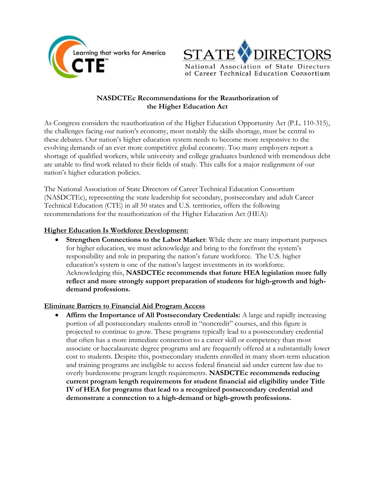



# **NASDCTEc Recommendations for the Reauthorization of the Higher Education Act**

As Congress considers the reauthorization of the Higher Education Opportunity Act (P.L. 110-315), the challenges facing our nation's economy, most notably the skills shortage, must be central to these debates. Our nation's higher education system needs to become more responsive to the evolving demands of an ever more competitive global economy. Too many employers report a shortage of qualified workers, while university and college graduates burdened with tremendous debt are unable to find work related to their fields of study. This calls for a major realignment of our nation's higher education policies.

The National Association of State Directors of Career Technical Education Consortium (NASDCTEc), representing the state leadership for secondary, postsecondary and adult Career Technical Education (CTE) in all 50 states and U.S. territories, offers the following recommendations for the reauthorization of the Higher Education Act (HEA):

# **Higher Education Is Workforce Development:**

 **Strengthen Connections to the Labor Market**: While there are many important purposes for higher education, we must acknowledge and bring to the forefront the system's responsibility and role in preparing the nation's future workforce. The U.S. higher education's system is one of the nation's largest investments in its workforce. Acknowledging this, **NASDCTEc recommends that future HEA legislation more fully reflect and more strongly support preparation of students for high-growth and highdemand professions.**

### **Eliminate Barriers to Financial Aid Program Access**

 **Affirm the Importance of All Postsecondary Credentials:** A large and rapidly increasing portion of all postsecondary students enroll in "noncredit" courses, and this figure is projected to continue to grow. These programs typically lead to a postsecondary credential that often has a more immediate connection to a career skill or competency than most associate or baccalaureate degree programs and are frequently offered at a substantially lower cost to students. Despite this, postsecondary students enrolled in many short-term education and training programs are ineligible to access federal financial aid under current law due to overly burdensome program length requirements. **NASDCTEc recommends reducing current program length requirements for student financial aid eligibility under Title IV of HEA for programs that lead to a recognized postsecondary credential and demonstrate a connection to a high-demand or high-growth professions.**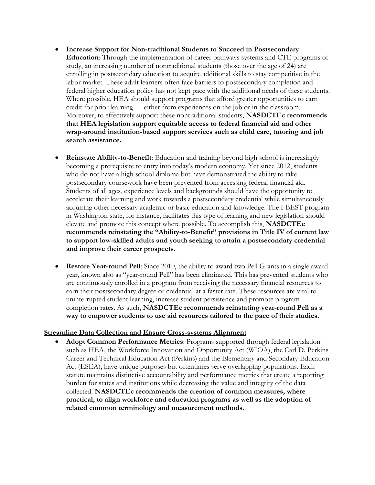- **Increase Support for Non-traditional Students to Succeed in Postsecondary Education**: Through the implementation of career pathways systems and CTE programs of study, an increasing number of nontraditional students (those over the age of 24) are enrolling in postsecondary education to acquire additional skills to stay competitive in the labor market. These adult learners often face barriers to postsecondary completion and federal higher education policy has not kept pace with the additional needs of these students. Where possible, HEA should support programs that afford greater opportunities to earn credit for prior learning — either from experiences on the job or in the classroom. Moreover, to effectively support these nontraditional students, **NASDCTEc recommends that HEA legislation support equitable access to federal financial aid and other wrap-around institution-based support services such as child care, tutoring and job search assistance.**
- **Reinstate Ability-to-Benefit**: Education and training beyond high school is increasingly becoming a prerequisite to entry into today's modern economy. Yet since 2012, students who do not have a high school diploma but have demonstrated the ability to take postsecondary coursework have been prevented from accessing federal financial aid. Students of all ages, experience levels and backgrounds should have the opportunity to accelerate their learning and work towards a postsecondary credential while simultaneously acquiring other necessary academic or basic education and knowledge. The I-BEST program in Washington state, for instance, facilitates this type of learning and new legislation should elevate and promote this concept where possible. To accomplish this, **NASDCTEc recommends reinstating the "Ability-to-Benefit" provisions in Title IV of current law to support low-skilled adults and youth seeking to attain a postsecondary credential and improve their career prospects.**
- **Restore Year-round Pell**: Since 2010, the ability to award two Pell Grants in a single award year, known also as "year-round Pell" has been eliminated. This has prevented students who are continuously enrolled in a program from receiving the necessary financial resources to earn their postsecondary degree or credential at a faster rate. These resources are vital to uninterrupted student learning, increase student persistence and promote program completion rates. As such, **NASDCTEc recommends reinstating year-round Pell as a way to empower students to use aid resources tailored to the pace of their studies.**

### **Streamline Data Collection and Ensure Cross-systems Alignment**

 **Adopt Common Performance Metrics**: Programs supported through federal legislation such as HEA, the Workforce Innovation and Opportunity Act (WIOA), the Carl D. Perkins Career and Technical Education Act (Perkins) and the Elementary and Secondary Education Act (ESEA), have unique purposes but oftentimes serve overlapping populations. Each statute maintains distinctive accountability and performance metrics that create a reporting burden for states and institutions while decreasing the value and integrity of the data collected. **NASDCTEc recommends the creation of common measures, where practical, to align workforce and education programs as well as the adoption of related common terminology and measurement methods.**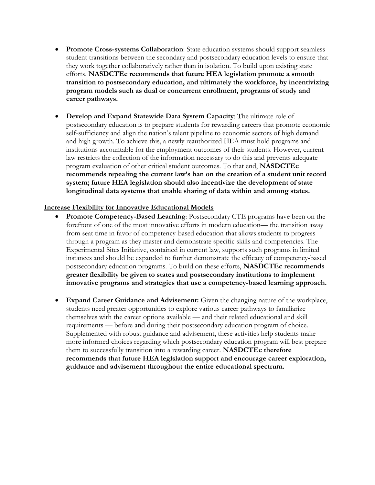- **Promote Cross-systems Collaboration**: State education systems should support seamless student transitions between the secondary and postsecondary education levels to ensure that they work together collaboratively rather than in isolation. To build upon existing state efforts, **NASDCTEc recommends that future HEA legislation promote a smooth transition to postsecondary education, and ultimately the workforce, by incentivizing program models such as dual or concurrent enrollment, programs of study and career pathways.**
- **Develop and Expand Statewide Data System Capacity**: The ultimate role of postsecondary education is to prepare students for rewarding careers that promote economic self-sufficiency and align the nation's talent pipeline to economic sectors of high demand and high growth. To achieve this, a newly reauthorized HEA must hold programs and institutions accountable for the employment outcomes of their students. However, current law restricts the collection of the information necessary to do this and prevents adequate program evaluation of other critical student outcomes. To that end, **NASDCTEc recommends repealing the current law's ban on the creation of a student unit record system; future HEA legislation should also incentivize the development of state longitudinal data systems that enable sharing of data within and among states.**

#### **Increase Flexibility for Innovative Educational Models**

- **Promote Competency-Based Learning**: Postsecondary CTE programs have been on the forefront of one of the most innovative efforts in modern education— the transition away from seat time in favor of competency-based education that allows students to progress through a program as they master and demonstrate specific skills and competencies. The Experimental Sites Initiative, contained in current law, supports such programs in limited instances and should be expanded to further demonstrate the efficacy of competency-based postsecondary education programs. To build on these efforts, **NASDCTEc recommends greater flexibility be given to states and postsecondary institutions to implement innovative programs and strategies that use a competency-based learning approach.**
- **Expand Career Guidance and Advisement:** Given the changing nature of the workplace, students need greater opportunities to explore various career pathways to familiarize themselves with the career options available — and their related educational and skill requirements — before and during their postsecondary education program of choice. Supplemented with robust guidance and advisement, these activities help students make more informed choices regarding which postsecondary education program will best prepare them to successfully transition into a rewarding career. **NASDCTEc therefore recommends that future HEA legislation support and encourage career exploration, guidance and advisement throughout the entire educational spectrum.**